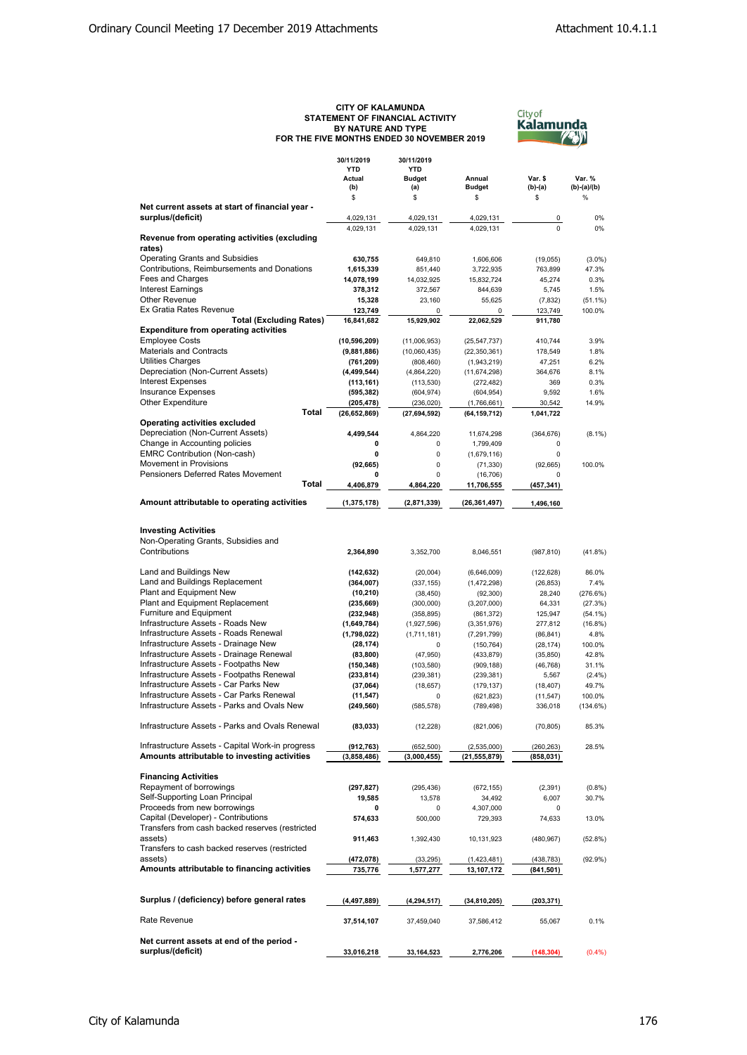## **CITY OF KALAMUNDA STATEMENT OF FINANCIAL ACTIVITY BY NATURE AND TYPE FOR THE FIVE MONTHS ENDED 30 NOVEMBER 2019**



|                                                        | 30/11/2019     | 30/11/2019     |                |             |               |
|--------------------------------------------------------|----------------|----------------|----------------|-------------|---------------|
|                                                        | <b>YTD</b>     | <b>YTD</b>     |                |             |               |
|                                                        | Actual         | <b>Budget</b>  | Annual         | Var. \$     | Var. %        |
|                                                        | (b)            | (a)            | <b>Budget</b>  | $(b)-(a)$   | $(b)-(a)/(b)$ |
|                                                        | \$             | \$             | \$             | \$          | $\%$          |
| Net current assets at start of financial year -        |                |                |                |             |               |
| surplus/(deficit)                                      | 4,029,131      | 4,029,131      | 4,029,131      | 0           | 0%            |
|                                                        | 4,029,131      | 4,029,131      | 4,029,131      | $\Omega$    | 0%            |
| Revenue from operating activities (excluding<br>rates) |                |                |                |             |               |
| <b>Operating Grants and Subsidies</b>                  | 630,755        | 649,810        | 1,606,606      | (19,055)    | $(3.0\%)$     |
| Contributions, Reimbursements and Donations            | 1,615,339      | 851,440        | 3,722,935      | 763,899     | 47.3%         |
| Fees and Charges                                       | 14,078,199     | 14,032,925     | 15,832,724     | 45,274      | 0.3%          |
| <b>Interest Earnings</b>                               | 378,312        | 372.567        | 844.639        | 5,745       | 1.5%          |
| <b>Other Revenue</b>                                   | 15,328         | 23,160         | 55,625         | (7, 832)    | $(51.1\%)$    |
| Ex Gratia Rates Revenue                                | 123,749        | 0              | 0              | 123,749     | 100.0%        |
| <b>Total (Excluding Rates)</b>                         | 16,841,682     | 15,929,902     | 22,062,529     | 911,780     |               |
| <b>Expenditure from operating activities</b>           |                |                |                |             |               |
| <b>Employee Costs</b>                                  | (10, 596, 209) | (11,006,953)   | (25, 547, 737) | 410,744     | 3.9%          |
| <b>Materials and Contracts</b>                         | (9,881,886)    | (10,060,435)   | (22, 350, 361) | 178,549     | 1.8%          |
| <b>Utilities Charges</b>                               | (761, 209)     | (808, 460)     | (1,943,219)    | 47,251      | 6.2%          |
| Depreciation (Non-Current Assets)                      | (4, 499, 544)  | (4,864,220)    | (11, 674, 298) | 364,676     | 8.1%          |
| <b>Interest Expenses</b>                               | (113, 161)     | (113, 530)     | (272, 482)     | 369         | 0.3%          |
| <b>Insurance Expenses</b>                              | (595, 382)     | (604, 974)     | (604, 954)     | 9,592       | 1.6%          |
| <b>Other Expenditure</b>                               | (205, 478)     | (236, 020)     | (1,766,661)    | 30,542      | 14.9%         |
| Total                                                  | (26, 652, 869) | (27, 694, 592) | (64, 159, 712) | 1,041,722   |               |
| Operating activities excluded                          |                |                |                |             |               |
| Depreciation (Non-Current Assets)                      | 4.499.544      | 4,864,220      | 11,674,298     | (364, 676)  | $(8.1\%)$     |
| Change in Accounting policies                          | 0              | 0              | 1,799,409      | 0           |               |
| <b>EMRC Contribution (Non-cash)</b>                    | 0              | 0              | (1,679,116)    | $\mathbf 0$ |               |
| <b>Movement in Provisions</b>                          | (92, 665)      | 0              | (71, 330)      | (92, 665)   | 100.0%        |
| Pensioners Deferred Rates Movement                     | 0              | 0              | (16, 706)      | 0           |               |
| Total                                                  | 4,406,879      | 4,864,220      | 11,706,555     | (457,341)   |               |
| Amount attributable to operating activities            | (1, 375, 178)  | (2,871,339)    | (26, 361, 497) | 1,496,160   |               |
|                                                        |                |                |                |             |               |
|                                                        |                |                |                |             |               |
| <b>Investing Activities</b>                            |                |                |                |             |               |
| Non-Operating Grants, Subsidies and                    |                |                |                |             |               |
| Contributions                                          | 2,364,890      | 3,352,700      | 8,046,551      | (987, 810)  | (41.8%)       |
|                                                        |                |                |                |             |               |
| Land and Buildings New                                 | (142, 632)     | (20,004)       | (6,646,009)    | (122, 628)  | 86.0%         |
| Land and Buildings Replacement                         | (364, 007)     | (337, 155)     | (1,472,298)    | (26, 853)   | 7.4%          |
| Plant and Equipment New                                | (10, 210)      | (38, 450)      | (92, 300)      | 28,240      | (276.6%)      |
| <b>Plant and Equipment Replacement</b>                 | (235, 669)     | (300,000)      | (3,207,000)    | 64,331      | (27.3%)       |
| <b>Furniture and Equipment</b>                         | (232, 948)     | (358, 895)     | (861, 372)     | 125,947     | $(54.1\%)$    |
| Infrastructure Assets - Roads New                      | (1,649,784)    | (1,927,596)    | (3,351,976)    | 277,812     | $(16.8\%)$    |
| Infrastructure Assets - Roads Renewal                  | (1,798,022)    | (1,711,181)    | (7, 291, 799)  | (86, 841)   | 4.8%          |
| Infrastructure Assets - Drainage New                   | (28, 174)      | 0              | (150, 764)     | (28, 174)   | 100.0%        |
| Infrastructure Assets - Drainage Renewal               | (83, 800)      | (47, 950)      | (433, 879)     | (35, 850)   | 42.8%         |
| Infrastructure Assets - Footpaths New                  | (150, 348)     | (103, 580)     | (909, 188)     | (46, 768)   | 31.1%         |
| Infrastructure Assets - Footpaths Renewal              | (233, 814)     | (239, 381)     | (239, 381)     | 5,567       | $(2.4\%)$     |
| Infrastructure Assets - Car Parks New                  | (37,064)       | (18, 657)      | (179, 137)     | (18, 407)   | 49.7%         |
| Infrastructure Assets - Car Parks Renewal              | (11, 547)      | 0              | (621, 823)     | (11, 547)   | 100.0%        |
| Infrastructure Assets - Parks and Ovals New            | (249, 560)     | (585, 578)     | (789, 498)     | 336,018     | (134.6%)      |
|                                                        |                |                |                |             |               |
| Infrastructure Assets - Parks and Ovals Renewal        | (83, 033)      | (12, 228)      | (821,006)      | (70, 805)   | 85.3%         |
|                                                        |                |                |                |             |               |
| Infrastructure Assets - Capital Work-in progress       | (912, 763)     | (652, 500)     | (2,535,000)    | (260, 263)  | 28.5%         |
| Amounts attributable to investing activities           | (3,858,486)    | (3,000,455)    | (21, 555, 879) | (858,031)   |               |
|                                                        |                |                |                |             |               |
| <b>Financing Activities</b>                            |                |                |                |             |               |
| Repayment of borrowings                                | (297, 827)     | (295, 436)     | (672, 155)     | (2, 391)    | (0.8% )       |
| Self-Supporting Loan Principal                         | 19,585         | 13,578         | 34,492         | 6,007       | 30.7%         |
| Proceeds from new borrowings                           | 0              | 0              | 4,307,000      | 0           |               |
| Capital (Developer) - Contributions                    | 574,633        | 500,000        | 729,393        | 74,633      | 13.0%         |
| Transfers from cash backed reserves (restricted        |                |                |                |             |               |
| assets)                                                | 911,463        | 1,392,430      | 10,131,923     | (480, 967)  | $(52.8\%)$    |
| Transfers to cash backed reserves (restricted          |                |                |                |             |               |
| assets)                                                | (472, 078)     | (33, 295)      | (1,423,481)    | (438, 783)  | $(92.9\%)$    |
| Amounts attributable to financing activities           | 735,776        | 1,577,277      | 13,107,172     | (841, 501)  |               |
|                                                        |                |                |                |             |               |
|                                                        |                |                |                |             |               |
| Surplus / (deficiency) before general rates            | (4, 497, 889)  | (4, 294, 517)  | (34, 810, 205) | (203,371)   |               |
| Rate Revenue                                           | 37,514,107     | 37,459,040     | 37,586,412     | 55,067      | 0.1%          |
|                                                        |                |                |                |             |               |
| Net current assets at end of the period -              |                |                |                |             |               |
| surplus/(deficit)                                      | 33,016,218     | 33,164,523     | 2,776,206      | (148, 304)  | (0.4% )       |